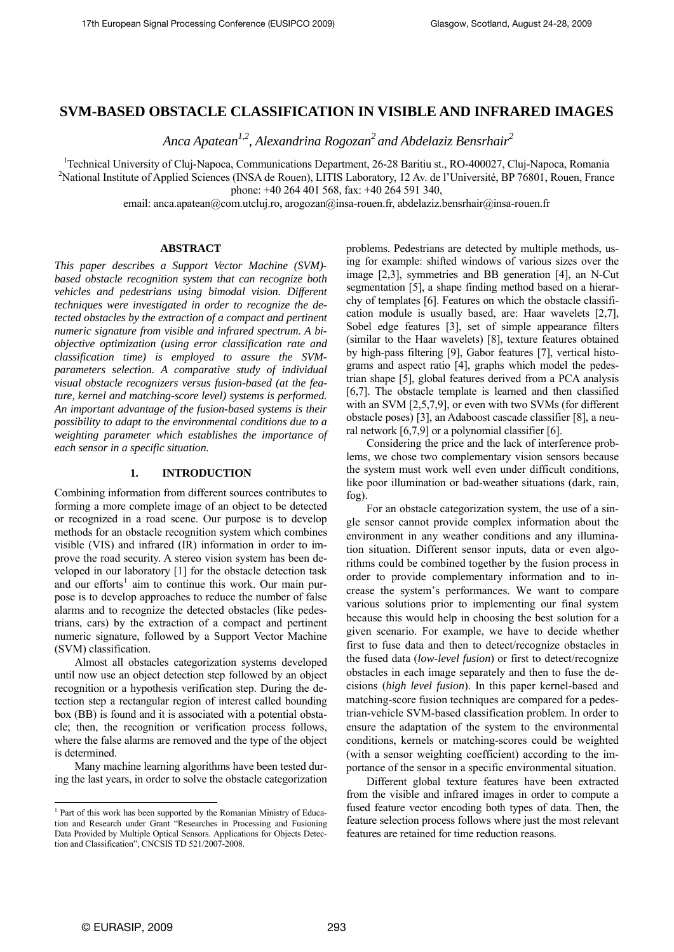# **SVM-BASED OBSTACLE CLASSIFICATION IN VISIBLE AND INFRARED IMAGES**

 *Anca Apatean1,2, Alexandrina Rogozan2 and Abdelaziz Bensrhair2*

<sup>1</sup> Technical University of Cluj-Napoca, Communications Department, 26-28 Baritiu st., RO-400027, Cluj-Napoca, Romania<br><sup>2</sup> National Institute of Applied Saignees (INS A de Beuen), LITIS Leberstony, 12 Av. de l'Université,

<sup>2</sup>National Institute of Applied Sciences (INSA de Rouen), LITIS Laboratory, 12 Av. de l'Université, BP 76801, Rouen, France phone: +40 264 401 568, fax: +40 264 591 340,

email: anca.apatean@com.utcluj.ro, arogozan@insa-rouen.fr, abdelaziz.bensrhair@insa-rouen.fr

## **ABSTRACT**

*This paper describes a Support Vector Machine (SVM) based obstacle recognition system that can recognize both vehicles and pedestrians using bimodal vision. Different techniques were investigated in order to recognize the detected obstacles by the extraction of a compact and pertinent numeric signature from visible and infrared spectrum. A biobjective optimization (using error classification rate and classification time) is employed to assure the SVMparameters selection. A comparative study of individual visual obstacle recognizers versus fusion-based (at the feature, kernel and matching-score level) systems is performed. An important advantage of the fusion-based systems is their possibility to adapt to the environmental conditions due to a weighting parameter which establishes the importance of each sensor in a specific situation.* 

# **1. INTRODUCTION**

Combining information from different sources contributes to forming a more complete image of an object to be detected or recognized in a road scene. Our purpose is to develop methods for an obstacle recognition system which combines visible (VIS) and infrared (IR) information in order to improve the road security. A stereo vision system has been developed in our laboratory [1] for the obstacle detection task and our efforts<sup>[1](#page-0-0)</sup> aim to continue this work. Our main purpose is to develop approaches to reduce the number of false alarms and to recognize the detected obstacles (like pedestrians, cars) by the extraction of a compact and pertinent numeric signature, followed by a Support Vector Machine (SVM) classification.

Almost all obstacles categorization systems developed until now use an object detection step followed by an object recognition or a hypothesis verification step. During the detection step a rectangular region of interest called bounding box (BB) is found and it is associated with a potential obstacle; then, the recognition or verification process follows, where the false alarms are removed and the type of the object is determined.

Many machine learning algorithms have been tested during the last years, in order to solve the obstacle categorization problems. Pedestrians are detected by multiple methods, using for example: shifted windows of various sizes over the image [2,3], symmetries and BB generation [4], an N-Cut segmentation [5], a shape finding method based on a hierarchy of templates [6]. Features on which the obstacle classification module is usually based, are: Haar wavelets [2,7], Sobel edge features [3], set of simple appearance filters (similar to the Haar wavelets) [8], texture features obtained by high-pass filtering [9], Gabor features [7], vertical histograms and aspect ratio [4], graphs which model the pedestrian shape [5], global features derived from a PCA analysis [6,7]. The obstacle template is learned and then classified with an SVM [2,5,7,9], or even with two SVMs (for different obstacle poses) [3], an Adaboost cascade classifier [8], a neural network [6,7,9] or a polynomial classifier [6].

Considering the price and the lack of interference problems, we chose two complementary vision sensors because the system must work well even under difficult conditions, like poor illumination or bad-weather situations (dark, rain, fog).

For an obstacle categorization system, the use of a single sensor cannot provide complex information about the environment in any weather conditions and any illumination situation. Different sensor inputs, data or even algorithms could be combined together by the fusion process in order to provide complementary information and to increase the system's performances. We want to compare various solutions prior to implementing our final system because this would help in choosing the best solution for a given scenario. For example, we have to decide whether first to fuse data and then to detect/recognize obstacles in the fused data (*low-level fusion*) or first to detect/recognize obstacles in each image separately and then to fuse the decisions (*high level fusion*). In this paper kernel-based and matching-score fusion techniques are compared for a pedestrian-vehicle SVM-based classification problem. In order to ensure the adaptation of the system to the environmental conditions, kernels or matching-scores could be weighted (with a sensor weighting coefficient) according to the importance of the sensor in a specific environmental situation.

Different global texture features have been extracted from the visible and infrared images in order to compute a fused feature vector encoding both types of data. Then, the feature selection process follows where just the most relevant features are retained for time reduction reasons.

<span id="page-0-0"></span><sup>&</sup>lt;sup>1</sup> Part of this work has been supported by the Romanian Ministry of Education and Research under Grant "Researches in Processing and Fusioning Data Provided by Multiple Optical Sensors. Applications for Objects Detection and Classification", CNCSIS TD 521/2007-2008.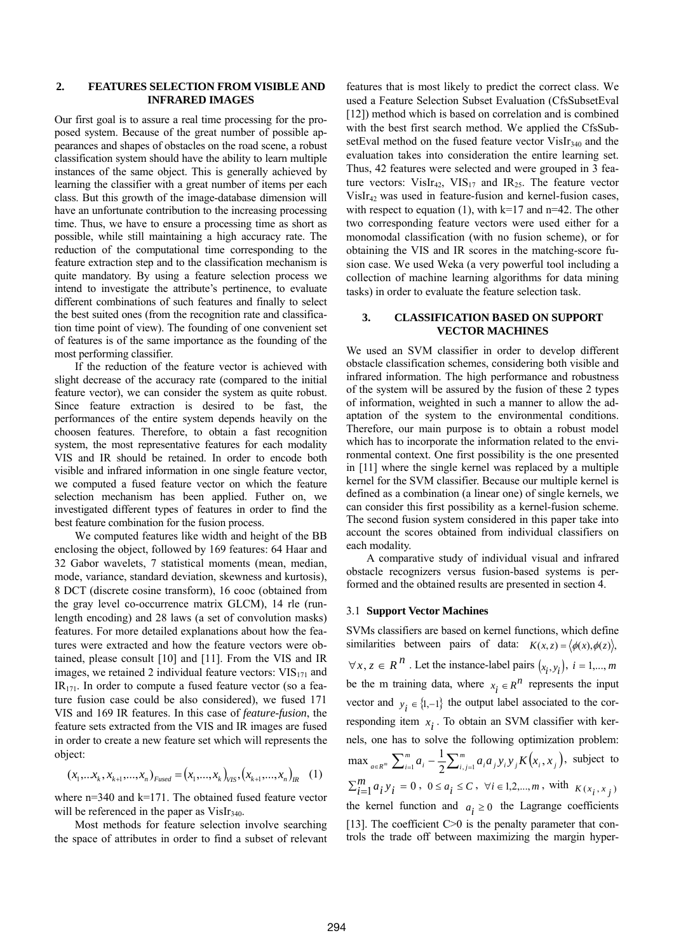#### **2. FEATURES SELECTION FROM VISIBLE AND INFRARED IMAGES**

Our first goal is to assure a real time processing for the proposed system. Because of the great number of possible appearances and shapes of obstacles on the road scene, a robust classification system should have the ability to learn multiple instances of the same object. This is generally achieved by learning the classifier with a great number of items per each class. But this growth of the image-database dimension will have an unfortunate contribution to the increasing processing time. Thus, we have to ensure a processing time as short as possible, while still maintaining a high accuracy rate. The reduction of the computational time corresponding to the feature extraction step and to the classification mechanism is quite mandatory. By using a feature selection process we intend to investigate the attribute's pertinence, to evaluate different combinations of such features and finally to select the best suited ones (from the recognition rate and classification time point of view). The founding of one convenient set of features is of the same importance as the founding of the most performing classifier.

If the reduction of the feature vector is achieved with slight decrease of the accuracy rate (compared to the initial feature vector), we can consider the system as quite robust. Since feature extraction is desired to be fast, the performances of the entire system depends heavily on the choosen features. Therefore, to obtain a fast recognition system, the most representative features for each modality VIS and IR should be retained. In order to encode both visible and infrared information in one single feature vector, we computed a fused feature vector on which the feature selection mechanism has been applied. Futher on, we investigated different types of features in order to find the best feature combination for the fusion process.

We computed features like width and height of the BB enclosing the object, followed by 169 features: 64 Haar and 32 Gabor wavelets, 7 statistical moments (mean, median, mode, variance, standard deviation, skewness and kurtosis), 8 DCT (discrete cosine transform), 16 cooc (obtained from the gray level co-occurrence matrix GLCM), 14 rle (runlength encoding) and 28 laws (a set of convolution masks) features. For more detailed explanations about how the features were extracted and how the feature vectors were obtained, please consult [10] and [11]. From the VIS and IR images, we retained 2 individual feature vectors:  $VIS_{171}$  and  $IR<sub>171</sub>$ . In order to compute a fused feature vector (so a feature fusion case could be also considered), we fused 171 VIS and 169 IR features. In this case of *feature-fusion*, the feature sets extracted from the VIS and IR images are fused in order to create a new feature set which will represents the object:

$$
(x_1,...x_k, x_{k+1},...,x_n)_{Fused} = (x_1,...,x_k)_{VIS}, (x_{k+1},...,x_n)_{IR} \quad (1)
$$

where  $n=340$  and  $k=171$ . The obtained fused feature vector will be referenced in the paper as  $VisIr<sub>340</sub>$ .

Most methods for feature selection involve searching the space of attributes in order to find a subset of relevant features that is most likely to predict the correct class. We used a Feature Selection Subset Evaluation (CfsSubsetEval [12]) method which is based on correlation and is combined with the best first search method. We applied the CfsSubsetEval method on the fused feature vector VisIr<sub>340</sub> and the evaluation takes into consideration the entire learning set. Thus, 42 features were selected and were grouped in 3 feature vectors:  $VisIr_{42}$ ,  $VIS_{17}$  and  $IR_{25}$ . The feature vector  $VisIr<sub>42</sub>$  was used in feature-fusion and kernel-fusion cases, with respect to equation (1), with  $k=17$  and  $n=42$ . The other two corresponding feature vectors were used either for a monomodal classification (with no fusion scheme), or for obtaining the VIS and IR scores in the matching-score fusion case. We used Weka (a very powerful tool including a collection of machine learning algorithms for data mining tasks) in order to evaluate the feature selection task.

## **3. CLASSIFICATION BASED ON SUPPORT VECTOR MACHINES**

We used an SVM classifier in order to develop different obstacle classification schemes, considering both visible and infrared information. The high performance and robustness of the system will be assured by the fusion of these 2 types of information, weighted in such a manner to allow the adaptation of the system to the environmental conditions. Therefore, our main purpose is to obtain a robust model which has to incorporate the information related to the environmental context. One first possibility is the one presented in [11] where the single kernel was replaced by a multiple kernel for the SVM classifier. Because our multiple kernel is defined as a combination (a linear one) of single kernels, we can consider this first possibility as a kernel-fusion scheme. The second fusion system considered in this paper take into account the scores obtained from individual classifiers on each modality.

A comparative study of individual visual and infrared obstacle recognizers versus fusion-based systems is performed and the obtained results are presented in section 4.

## 3.1 **Support Vector Machines**

SVMs classifiers are based on kernel functions, which define similarities between pairs of data:  $K(x, z) = \langle \phi(x), \phi(z) \rangle$ ,  $\forall x, z \in R^n$ . Let the instance-label pairs  $(x_i, y_i)$ , *i* = 1,..., *m* be the m training data, where  $x_i \in R^n$  represents the input vector and  $y_i \in \{1, -1\}$  the output label associated to the corresponding item  $x_i$ . To obtain an SVM classifier with kernels, one has to solve the following optimization problem:  $\max_{a \in R^m} \sum_{i=1}^m a_i - \frac{1}{2} \sum_{i,j=1}^m a_i a_j y_i y_j K(x_i, x_j)$ , subject to  $\sum_{i=1}^{m} a_i y_i = 0$ ,  $0 \le a_i \le C$ ,  $\forall i \in 1, 2, ..., m$ , with  $K(x_i, x_j)$ the kernel function and  $a_i \geq 0$  the Lagrange coefficients [13]. The coefficient  $C>0$  is the penalty parameter that controls the trade off between maximizing the margin hyper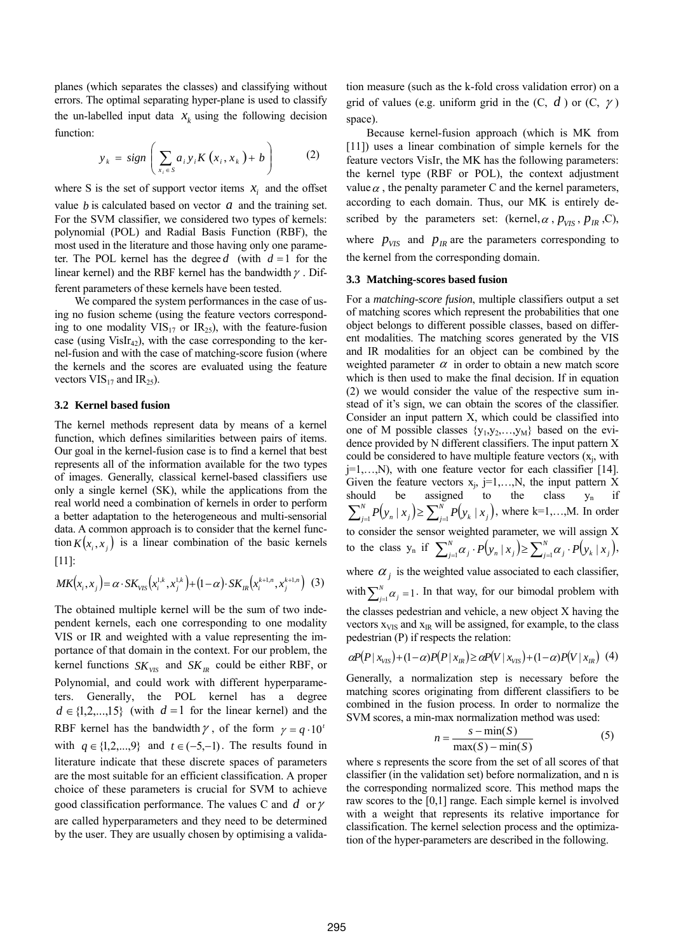planes (which separates the classes) and classifying without errors. The optimal separating hyper-plane is used to classify the un-labelled input data  $x_k$  using the following decision function:

$$
y_k = sign\left(\sum_{x_i \in S} a_i y_i K\left(x_i, x_k\right) + b\right) \tag{2}
$$

where S is the set of support vector items  $x_i$  and the offset value  $b$  is calculated based on vector  $a$  and the training set. For the SVM classifier, we considered two types of kernels: polynomial (POL) and Radial Basis Function (RBF), the most used in the literature and those having only one parameter. The POL kernel has the degree  $d$  (with  $d = 1$  for the linear kernel) and the RBF kernel has the bandwidth  $\gamma$ . Different parameters of these kernels have been tested.

We compared the system performances in the case of using no fusion scheme (using the feature vectors corresponding to one modality  $VIS_{17}$  or  $IR_{25}$ ), with the feature-fusion case (using  $VisIr<sub>42</sub>$ ), with the case corresponding to the kernel-fusion and with the case of matching-score fusion (where the kernels and the scores are evaluated using the feature vectors  $VIS_{17}$  and  $IR_{25}$ ).

#### **3.2 Kernel based fusion**

The kernel methods represent data by means of a kernel function, which defines similarities between pairs of items. Our goal in the kernel-fusion case is to find a kernel that best represents all of the information available for the two types of images. Generally, classical kernel-based classifiers use only a single kernel (SK), while the applications from the real world need a combination of kernels in order to perform a better adaptation to the heterogeneous and multi-sensorial data. A common approach is to consider that the kernel function  $K(x_i, x_i)$  is a linear combination of the basic kernels [11]:

$$
MK(x_i, x_j) = \alpha \cdot SK_{VIS}(x_i^{1,k}, x_j^{1,k}) + (1-\alpha) \cdot SK_{IR}(x_i^{k+1,n}, x_j^{k+1,n})
$$
 (3)

kernel functions  $SK_{VIS}$  and  $SK_{IR}$  could be either RBF, or  $d \in \{1, 2, \ldots, 15\}$  (with  $d = 1$  for the linear kernel) and the The obtained multiple kernel will be the sum of two independent kernels, each one corresponding to one modality VIS or IR and weighted with a value representing the importance of that domain in the context. For our problem, the Polynomial, and could work with different hyperparameters. Generally, the POL kernel has a degree RBF kernel has the bandwidth  $\gamma$ , of the form  $\gamma = q \cdot 10^{t}$ with  $q \in \{1, 2, \ldots, 9\}$  and  $t \in (-5, -1)$ . The results found in literature indicate that these discrete spaces of parameters are the most suitable for an efficient classification. A proper choice of these parameters is crucial for SVM to achieve good classification performance. The values C and *d* orγ are called hyperparameters and they need to be determined by the user. They are usually chosen by optimising a validation measure (such as the k-fold cross validation error) on a grid of values (e.g. uniform grid in the  $(C, d)$  or  $(C, \gamma)$ ) space).

Because kernel-fusion approach (which is MK from [11]) uses a linear combination of simple kernels for the feature vectors VisIr, the MK has the following parameters: the kernel type (RBF or POL), the context adjustment value  $\alpha$ , the penalty parameter C and the kernel parameters, according to each domain. Thus, our MK is entirely described by the parameters set: (kernel,  $\alpha$ ,  $p_{VIS}$ ,  $p_{IR}$ , C),

where  $p_{VIS}$  and  $p_{IR}$  are the parameters corresponding to the kernel from the corresponding domain.

### **3.3 Matching-scores based fusion**

For a *matching-score fusion*, multiple classifiers output a set of matching scores which represent the probabilities that one object belongs to different possible classes, based on different modalities. The matching scores generated by the VIS and IR modalities for an object can be combined by the weighted parameter  $\alpha$  in order to obtain a new match score which is then used to make the final decision. If in equation (2) we would consider the value of the respective sum instead of it's sign, we can obtain the scores of the classifier. Consider an input pattern X, which could be classified into one of M possible classes  $\{y_1, y_2, \ldots, y_M\}$  based on the evidence provided by N different classifiers. The input pattern X could be considered to have multiple feature vectors  $(x_i)$ , with  $j=1,...,N$ , with one feature vector for each classifier [14]. Given the feature vectors  $x_i$ , j=1,...,N, the input pattern X should be assigned to the class  $y_n$  if  $\sum_{j=1}^{N} P(y_n | x_j) \ge \sum_{j=1}^{N} P(y_k | x_j)$ , where k=1,...,M. In order to consider the sensor weighted parameter, we will assign X to the class  $y_n$  if  $\sum_{j=1}^N \alpha_j \cdot P(y_n | x_j) \ge \sum_{j=1}^N \alpha_j \cdot P(y_k | x_j)$  $\sum_{j=1}^{N} \alpha_{j} \cdot P(y_{n} | x_{j}) \ge \sum_{j=1}^{N} \alpha_{j} \cdot P(y_{k} | x_{j}),$ where  $\alpha_j$  is the weighted value associated to each classifier, with  $\sum_{j=1}^{N} \alpha_j = 1$ . In that way, for our bimodal problem with the classes pedestrian and vehicle, a new object X having the vectors  $x_{VIS}$  and  $x_{IR}$  will be assigned, for example, to the class pedestrian (P) if respects the relation:

$$
\alpha P(P \mid x_{\text{VIS}}) + (1 - \alpha) P(P \mid x_{\text{IR}}) \ge \alpha P(V \mid x_{\text{VIS}}) + (1 - \alpha) P(V \mid x_{\text{IR}}) \tag{4}
$$

Generally, a normalization step is necessary before the matching scores originating from different classifiers to be combined in the fusion process. In order to normalize the SVM scores, a min-max normalization method was used:

$$
n = \frac{s - \min(S)}{\max(S) - \min(S)}
$$
(5)

where s represents the score from the set of all scores of that classifier (in the validation set) before normalization, and n is the corresponding normalized score. This method maps the raw scores to the [0,1] range. Each simple kernel is involved with a weight that represents its relative importance for classification. The kernel selection process and the optimization of the hyper-parameters are described in the following.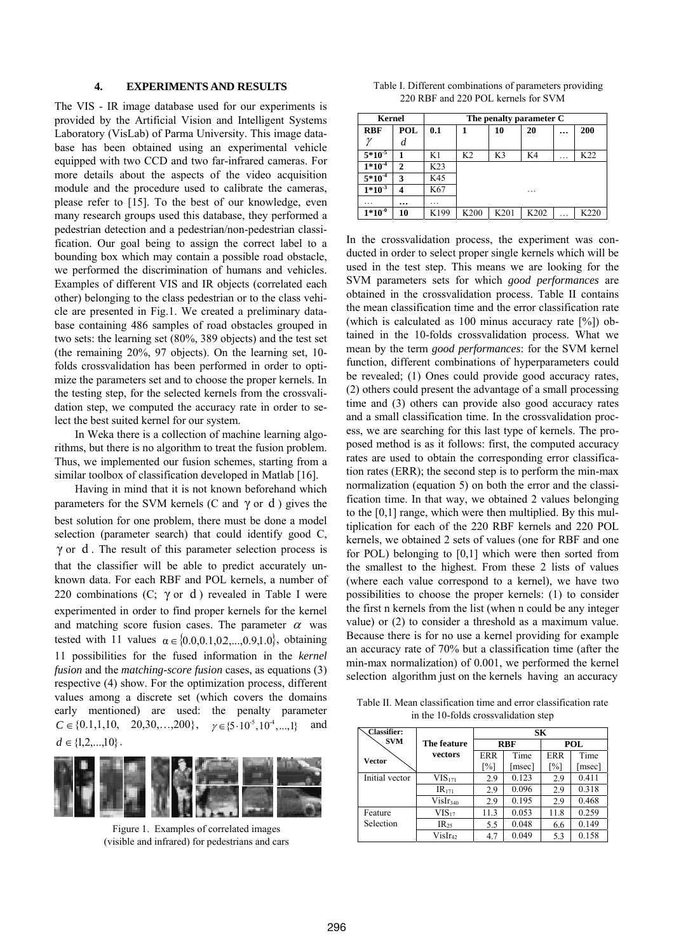#### **4. EXPERIMENTS AND RESULTS**

The VIS - IR image database used for our experiments is provided by the Artificial Vision and Intelligent Systems Laboratory (VisLab) of Parma University. This image database has been obtained using an experimental vehicle equipped with two CCD and two far-infrared cameras. For more details about the aspects of the video acquisition module and the procedure used to calibrate the cameras, please refer to [15]. To the best of our knowledge, even many research groups used this database, they performed a pedestrian detection and a pedestrian/non-pedestrian classification. Our goal being to assign the correct label to a bounding box which may contain a possible road obstacle, we performed the discrimination of humans and vehicles. Examples of different VIS and IR objects (correlated each other) belonging to the class pedestrian or to the class vehicle are presented in Fig.1. We created a preliminary database containing 486 samples of road obstacles grouped in two sets: the learning set (80%, 389 objects) and the test set (the remaining 20%, 97 objects). On the learning set, 10 folds crossvalidation has been performed in order to optimize the parameters set and to choose the proper kernels. In the testing step, for the selected kernels from the crossvalidation step, we computed the accuracy rate in order to select the best suited kernel for our system.

In Weka there is a collection of machine learning algorithms, but there is no algorithm to treat the fusion problem. Thus, we implemented our fusion schemes, starting from a similar toolbox of classification developed in Matlab [16].

Having in mind that it is not known beforehand which parameters for the SVM kernels (C and  $\gamma$  or d) gives the best solution for one problem, there must be done a model selection (parameter search) that could identify good C,  $\gamma$  or d. The result of this parameter selection process is that the classifier will be able to predict accurately unknown data. For each RBF and POL kernels, a number of 220 combinations (C;  $\gamma$  or d) revealed in Table I were experimented in order to find proper kernels for the kernel and matching score fusion cases. The parameter  $\alpha$  was tested with 11 values  $\alpha \in \{0.0, 0.1, 0.2, ..., 0.9, 1.0\}$ , obtaining 11 possibilities for the fused information in the *kernel fusion* and the *matching-score fusion* cases, as equations (3) respective (4) show. For the optimization process, different values among a discrete set (which covers the domains early mentioned) are used: the penalty parameter  $C \in \{0.1, 1, 10, 20, 30, \ldots, 200\}, \quad \gamma \in \{5.10^5, 10^4, \ldots, 1\}$  and  $d \in \{1, 2, \ldots, 10\}$ .



Figure 1. Examples of correlated images (visible and infrared) for pedestrians and cars

| Table I. Different combinations of parameters providing |
|---------------------------------------------------------|
| 220 RBF and 220 POL kernels for SVM                     |

| Kernel      |              | The penalty parameter C |                  |                |      |   |      |
|-------------|--------------|-------------------------|------------------|----------------|------|---|------|
| <b>RBF</b>  | POL          | 0.1                     |                  | 10             | 20   |   | 200  |
|             | d            |                         |                  |                |      |   |      |
| $5*10^{-5}$ |              | K1                      | K <sub>2</sub>   | K <sub>3</sub> | K4   | . | K22  |
| $1*10^{-4}$ | $\mathbf{2}$ | K23                     |                  |                |      |   |      |
| $5*10^{-4}$ | 3            | K45                     |                  |                |      |   |      |
| $1*10^{-3}$ | 4            | K67                     |                  |                | .    |   |      |
| .           | $\cdots$     | .                       |                  |                |      |   |      |
| $1*10^{-0}$ | 10           | K199                    | K <sub>200</sub> | K201           | K202 | . | K220 |

In the crossvalidation process, the experiment was conducted in order to select proper single kernels which will be used in the test step. This means we are looking for the SVM parameters sets for which *good performances* are obtained in the crossvalidation process. Table II contains the mean classification time and the error classification rate (which is calculated as 100 minus accuracy rate [%]) obtained in the 10-folds crossvalidation process. What we mean by the term *good performances*: for the SVM kernel function, different combinations of hyperparameters could be revealed; (1) Ones could provide good accuracy rates, (2) others could present the advantage of a small processing time and (3) others can provide also good accuracy rates and a small classification time. In the crossvalidation process, we are searching for this last type of kernels. The proposed method is as it follows: first, the computed accuracy rates are used to obtain the corresponding error classification rates (ERR); the second step is to perform the min-max normalization (equation 5) on both the error and the classification time. In that way, we obtained 2 values belonging to the [0,1] range, which were then multiplied. By this multiplication for each of the 220 RBF kernels and 220 POL kernels, we obtained 2 sets of values (one for RBF and one for POL) belonging to [0,1] which were then sorted from the smallest to the highest. From these 2 lists of values (where each value correspond to a kernel), we have two possibilities to choose the proper kernels: (1) to consider the first n kernels from the list (when n could be any integer value) or (2) to consider a threshold as a maximum value. Because there is for no use a kernel providing for example an accuracy rate of 70% but a classification time (after the min-max normalization) of 0.001, we performed the kernel selection algorithm just on the kernels having an accuracy

Table II. Mean classification time and error classification rate in the 10-folds crossvalidation step

| <b>Classifier:</b> |                      | SК                |        |            |        |  |
|--------------------|----------------------|-------------------|--------|------------|--------|--|
| <b>SVM</b>         | The feature          | <b>RBF</b>        |        | <b>POL</b> |        |  |
| Vector             | vectors              | ER R              | Time   | <b>ERR</b> | Time   |  |
|                    |                      | $\lceil\% \rceil$ | [msec] | [%]        | [msec] |  |
| Initial vector     | $VIS_{171}$          | 2.9               | 0.123  | 2.9        | 0.411  |  |
|                    | IR <sub>171</sub>    | 2.9               | 0.096  | 2.9        | 0.318  |  |
|                    | VisIr <sub>340</sub> | 2.9               | 0.195  | 2.9        | 0.468  |  |
| Feature            | $VIS_{17}$           | 11.3              | 0.053  | 11.8       | 0.259  |  |
| Selection          | $IR_{25}$            | 5.5               | 0.048  | 6.6        | 0.149  |  |
|                    | $VisIr_{42}$         | 4.7               | 0.049  | 5.3        | 0.158  |  |